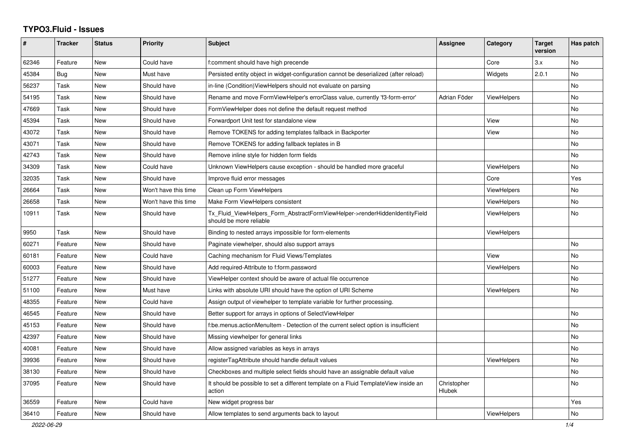## **TYPO3.Fluid - Issues**

| #     | <b>Tracker</b> | <b>Status</b> | <b>Priority</b>      | <b>Subject</b>                                                                                         | Assignee                     | Category           | <b>Target</b><br>version | Has patch |
|-------|----------------|---------------|----------------------|--------------------------------------------------------------------------------------------------------|------------------------------|--------------------|--------------------------|-----------|
| 62346 | Feature        | New           | Could have           | f:comment should have high precende                                                                    |                              | Core               | 3.x                      | <b>No</b> |
| 45384 | Bug            | New           | Must have            | Persisted entity object in widget-configuration cannot be deserialized (after reload)                  |                              | Widgets            | 2.0.1                    | <b>No</b> |
| 56237 | Task           | New           | Should have          | in-line (Condition)ViewHelpers should not evaluate on parsing                                          |                              |                    |                          | No        |
| 54195 | Task           | New           | Should have          | Rename and move FormViewHelper's errorClass value, currently 'f3-form-error'                           | Adrian Föder                 | ViewHelpers        |                          | No        |
| 47669 | Task           | New           | Should have          | FormViewHelper does not define the default request method                                              |                              |                    |                          | No        |
| 45394 | Task           | New           | Should have          | Forwardport Unit test for standalone view                                                              |                              | View               |                          | No        |
| 43072 | Task           | New           | Should have          | Remove TOKENS for adding templates fallback in Backporter                                              |                              | View               |                          | No        |
| 43071 | Task           | New           | Should have          | Remove TOKENS for adding fallback teplates in B                                                        |                              |                    |                          | <b>No</b> |
| 42743 | Task           | New           | Should have          | Remove inline style for hidden form fields                                                             |                              |                    |                          | <b>No</b> |
| 34309 | Task           | New           | Could have           | Unknown ViewHelpers cause exception - should be handled more graceful                                  |                              | <b>ViewHelpers</b> |                          | No.       |
| 32035 | Task           | New           | Should have          | Improve fluid error messages                                                                           |                              | Core               |                          | Yes       |
| 26664 | Task           | New           | Won't have this time | Clean up Form ViewHelpers                                                                              |                              | ViewHelpers        |                          | No        |
| 26658 | Task           | New           | Won't have this time | Make Form ViewHelpers consistent                                                                       |                              | <b>ViewHelpers</b> |                          | No        |
| 10911 | Task           | New           | Should have          | Tx Fluid ViewHelpers Form AbstractFormViewHelper->renderHiddenIdentityField<br>should be more reliable |                              | ViewHelpers        |                          | No        |
| 9950  | Task           | New           | Should have          | Binding to nested arrays impossible for form-elements                                                  |                              | ViewHelpers        |                          |           |
| 60271 | Feature        | <b>New</b>    | Should have          | Paginate viewhelper, should also support arrays                                                        |                              |                    |                          | <b>No</b> |
| 60181 | Feature        | New           | Could have           | Caching mechanism for Fluid Views/Templates                                                            |                              | View               |                          | No        |
| 60003 | Feature        | <b>New</b>    | Should have          | Add required-Attribute to f:form.password                                                              |                              | <b>ViewHelpers</b> |                          | No        |
| 51277 | Feature        | New           | Should have          | ViewHelper context should be aware of actual file occurrence                                           |                              |                    |                          | <b>No</b> |
| 51100 | Feature        | New           | Must have            | Links with absolute URI should have the option of URI Scheme                                           |                              | ViewHelpers        |                          | <b>No</b> |
| 48355 | Feature        | New           | Could have           | Assign output of viewhelper to template variable for further processing.                               |                              |                    |                          |           |
| 46545 | Feature        | New           | Should have          | Better support for arrays in options of SelectViewHelper                                               |                              |                    |                          | No        |
| 45153 | Feature        | New           | Should have          | f:be.menus.actionMenuItem - Detection of the current select option is insufficient                     |                              |                    |                          | No        |
| 42397 | Feature        | New           | Should have          | Missing viewhelper for general links                                                                   |                              |                    |                          | No        |
| 40081 | Feature        | New           | Should have          | Allow assigned variables as keys in arrays                                                             |                              |                    |                          | No        |
| 39936 | Feature        | New           | Should have          | registerTagAttribute should handle default values                                                      |                              | <b>ViewHelpers</b> |                          | No        |
| 38130 | Feature        | New           | Should have          | Checkboxes and multiple select fields should have an assignable default value                          |                              |                    |                          | No        |
| 37095 | Feature        | New           | Should have          | It should be possible to set a different template on a Fluid TemplateView inside an<br>action          | Christopher<br><b>Hlubek</b> |                    |                          | No        |
| 36559 | Feature        | New           | Could have           | New widget progress bar                                                                                |                              |                    |                          | Yes       |
| 36410 | Feature        | New           | Should have          | Allow templates to send arguments back to layout                                                       |                              | ViewHelpers        |                          | No        |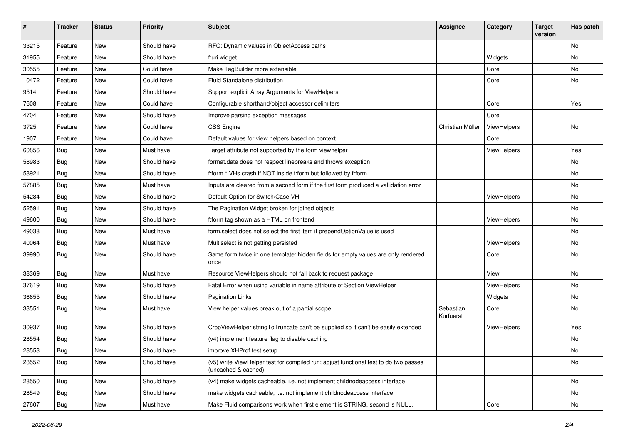| $\pmb{\#}$ | <b>Tracker</b> | <b>Status</b> | <b>Priority</b> | <b>Subject</b>                                                                                              | <b>Assignee</b>        | Category    | <b>Target</b><br>version | Has patch |
|------------|----------------|---------------|-----------------|-------------------------------------------------------------------------------------------------------------|------------------------|-------------|--------------------------|-----------|
| 33215      | Feature        | New           | Should have     | RFC: Dynamic values in ObjectAccess paths                                                                   |                        |             |                          | No        |
| 31955      | Feature        | New           | Should have     | f:uri.widget                                                                                                |                        | Widgets     |                          | No        |
| 30555      | Feature        | New           | Could have      | Make TagBuilder more extensible                                                                             |                        | Core        |                          | No        |
| 10472      | Feature        | New           | Could have      | Fluid Standalone distribution                                                                               |                        | Core        |                          | No        |
| 9514       | Feature        | New           | Should have     | Support explicit Array Arguments for ViewHelpers                                                            |                        |             |                          |           |
| 7608       | Feature        | New           | Could have      | Configurable shorthand/object accessor delimiters                                                           |                        | Core        |                          | Yes       |
| 4704       | Feature        | New           | Should have     | Improve parsing exception messages                                                                          |                        | Core        |                          |           |
| 3725       | Feature        | New           | Could have      | <b>CSS Engine</b>                                                                                           | Christian Müller       | ViewHelpers |                          | No        |
| 1907       | Feature        | New           | Could have      | Default values for view helpers based on context                                                            |                        | Core        |                          |           |
| 60856      | Bug            | New           | Must have       | Target attribute not supported by the form viewhelper                                                       |                        | ViewHelpers |                          | Yes       |
| 58983      | Bug            | <b>New</b>    | Should have     | format.date does not respect linebreaks and throws exception                                                |                        |             |                          | No        |
| 58921      | Bug            | New           | Should have     | f:form.* VHs crash if NOT inside f:form but followed by f:form                                              |                        |             |                          | No        |
| 57885      | Bug            | New           | Must have       | Inputs are cleared from a second form if the first form produced a vallidation error                        |                        |             |                          | No        |
| 54284      | Bug            | New           | Should have     | Default Option for Switch/Case VH                                                                           |                        | ViewHelpers |                          | No        |
| 52591      | Bug            | New           | Should have     | The Pagination Widget broken for joined objects                                                             |                        |             |                          | No        |
| 49600      | Bug            | New           | Should have     | f:form tag shown as a HTML on frontend                                                                      |                        | ViewHelpers |                          | No        |
| 49038      | Bug            | New           | Must have       | form.select does not select the first item if prependOptionValue is used                                    |                        |             |                          | No        |
| 40064      | Bug            | New           | Must have       | Multiselect is not getting persisted                                                                        |                        | ViewHelpers |                          | No        |
| 39990      | Bug            | New           | Should have     | Same form twice in one template: hidden fields for empty values are only rendered<br>once                   |                        | Core        |                          | No        |
| 38369      | Bug            | New           | Must have       | Resource ViewHelpers should not fall back to request package                                                |                        | View        |                          | No        |
| 37619      | Bug            | New           | Should have     | Fatal Error when using variable in name attribute of Section ViewHelper                                     |                        | ViewHelpers |                          | No        |
| 36655      | Bug            | New           | Should have     | <b>Pagination Links</b>                                                                                     |                        | Widgets     |                          | No        |
| 33551      | Bug            | New           | Must have       | View helper values break out of a partial scope                                                             | Sebastian<br>Kurfuerst | Core        |                          | No        |
| 30937      | Bug            | New           | Should have     | CropViewHelper stringToTruncate can't be supplied so it can't be easily extended                            |                        | ViewHelpers |                          | Yes       |
| 28554      | Bug            | <b>New</b>    | Should have     | (v4) implement feature flag to disable caching                                                              |                        |             |                          | No        |
| 28553      | Bug            | New           | Should have     | improve XHProf test setup                                                                                   |                        |             |                          | No        |
| 28552      | <b>Bug</b>     | New           | Should have     | (v5) write ViewHelper test for compiled run; adjust functional test to do two passes<br>(uncached & cached) |                        |             |                          | No        |
| 28550      | Bug            | New           | Should have     | (v4) make widgets cacheable, i.e. not implement childnodeaccess interface                                   |                        |             |                          | No        |
| 28549      | Bug            | New           | Should have     | make widgets cacheable, i.e. not implement childnodeaccess interface                                        |                        |             |                          | No        |
| 27607      | <b>Bug</b>     | New           | Must have       | Make Fluid comparisons work when first element is STRING, second is NULL.                                   |                        | Core        |                          | No        |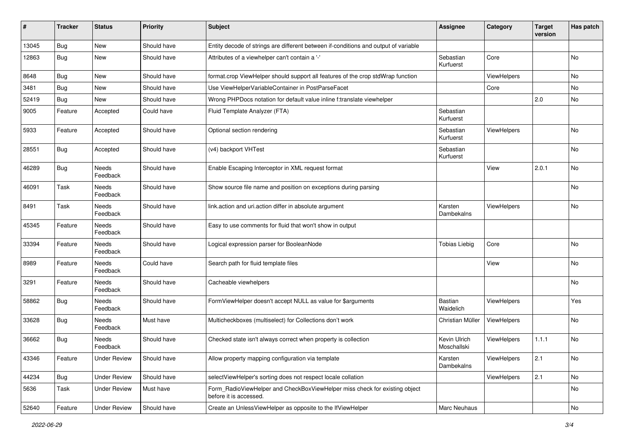| #     | <b>Tracker</b> | <b>Status</b>            | <b>Priority</b> | <b>Subject</b>                                                                                       | Assignee                    | Category    | <b>Target</b><br>version | Has patch |
|-------|----------------|--------------------------|-----------------|------------------------------------------------------------------------------------------------------|-----------------------------|-------------|--------------------------|-----------|
| 13045 | Bug            | New                      | Should have     | Entity decode of strings are different between if-conditions and output of variable                  |                             |             |                          |           |
| 12863 | Bug            | New                      | Should have     | Attributes of a viewhelper can't contain a '-'                                                       | Sebastian<br>Kurfuerst      | Core        |                          | No        |
| 8648  | Bug            | <b>New</b>               | Should have     | format.crop ViewHelper should support all features of the crop stdWrap function                      |                             | ViewHelpers |                          | <b>No</b> |
| 3481  | Bug            | New                      | Should have     | Use ViewHelperVariableContainer in PostParseFacet                                                    |                             | Core        |                          | No        |
| 52419 | Bug            | <b>New</b>               | Should have     | Wrong PHPDocs notation for default value inline f:translate viewhelper                               |                             |             | 2.0                      | <b>No</b> |
| 9005  | Feature        | Accepted                 | Could have      | Fluid Template Analyzer (FTA)                                                                        | Sebastian<br>Kurfuerst      |             |                          |           |
| 5933  | Feature        | Accepted                 | Should have     | Optional section rendering                                                                           | Sebastian<br>Kurfuerst      | ViewHelpers |                          | No        |
| 28551 | Bug            | Accepted                 | Should have     | (v4) backport VHTest                                                                                 | Sebastian<br>Kurfuerst      |             |                          | No        |
| 46289 | Bug            | Needs<br>Feedback        | Should have     | Enable Escaping Interceptor in XML request format                                                    |                             | View        | 2.0.1                    | <b>No</b> |
| 46091 | Task           | <b>Needs</b><br>Feedback | Should have     | Show source file name and position on exceptions during parsing                                      |                             |             |                          | <b>No</b> |
| 8491  | Task           | <b>Needs</b><br>Feedback | Should have     | link.action and uri.action differ in absolute argument                                               | Karsten<br>Dambekalns       | ViewHelpers |                          | No        |
| 45345 | Feature        | Needs<br>Feedback        | Should have     | Easy to use comments for fluid that won't show in output                                             |                             |             |                          |           |
| 33394 | Feature        | Needs<br>Feedback        | Should have     | Logical expression parser for BooleanNode                                                            | <b>Tobias Liebig</b>        | Core        |                          | No        |
| 8989  | Feature        | Needs<br>Feedback        | Could have      | Search path for fluid template files                                                                 |                             | View        |                          | No        |
| 3291  | Feature        | Needs<br>Feedback        | Should have     | Cacheable viewhelpers                                                                                |                             |             |                          | No        |
| 58862 | <b>Bug</b>     | Needs<br>Feedback        | Should have     | FormViewHelper doesn't accept NULL as value for \$arguments                                          | <b>Bastian</b><br>Waidelich | ViewHelpers |                          | Yes       |
| 33628 | Bug            | Needs<br>Feedback        | Must have       | Multicheckboxes (multiselect) for Collections don't work                                             | Christian Müller            | ViewHelpers |                          | No        |
| 36662 | <b>Bug</b>     | Needs<br>Feedback        | Should have     | Checked state isn't always correct when property is collection                                       | Kevin Ulrich<br>Moschallski | ViewHelpers | 1.1.1                    | No        |
| 43346 | Feature        | <b>Under Review</b>      | Should have     | Allow property mapping configuration via template                                                    | Karsten<br>Dambekalns       | ViewHelpers | 2.1                      | No        |
| 44234 | Bug            | <b>Under Review</b>      | Should have     | selectViewHelper's sorting does not respect locale collation                                         |                             | ViewHelpers | 2.1                      | No        |
| 5636  | Task           | <b>Under Review</b>      | Must have       | Form_RadioViewHelper and CheckBoxViewHelper miss check for existing object<br>before it is accessed. |                             |             |                          | No        |
| 52640 | Feature        | <b>Under Review</b>      | Should have     | Create an UnlessViewHelper as opposite to the IfViewHelper                                           | Marc Neuhaus                |             |                          | No        |